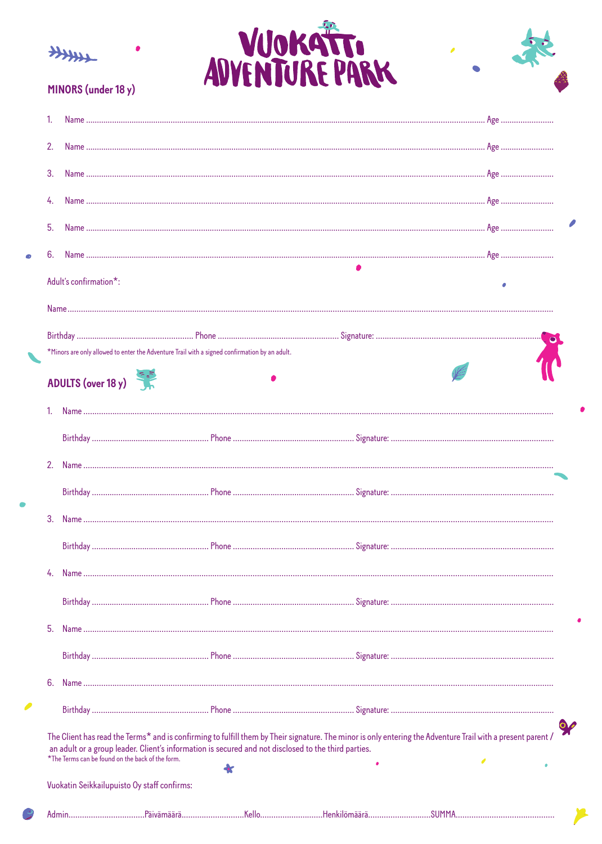





## MINORS (under 18 y)

| 2. |                                                                                                     |                                                                                                                                                             |  |
|----|-----------------------------------------------------------------------------------------------------|-------------------------------------------------------------------------------------------------------------------------------------------------------------|--|
| 3. |                                                                                                     |                                                                                                                                                             |  |
|    |                                                                                                     |                                                                                                                                                             |  |
| 5. |                                                                                                     |                                                                                                                                                             |  |
|    |                                                                                                     |                                                                                                                                                             |  |
| 6. |                                                                                                     |                                                                                                                                                             |  |
|    | Adult's confirmation*:                                                                              |                                                                                                                                                             |  |
|    |                                                                                                     |                                                                                                                                                             |  |
|    |                                                                                                     |                                                                                                                                                             |  |
|    | *Minors are only allowed to enter the Adventure Trail with a signed confirmation by an adult.       |                                                                                                                                                             |  |
|    | ADULTS (over 18 y)                                                                                  |                                                                                                                                                             |  |
|    |                                                                                                     |                                                                                                                                                             |  |
|    |                                                                                                     |                                                                                                                                                             |  |
|    |                                                                                                     |                                                                                                                                                             |  |
|    |                                                                                                     |                                                                                                                                                             |  |
| 3. |                                                                                                     |                                                                                                                                                             |  |
|    |                                                                                                     |                                                                                                                                                             |  |
|    |                                                                                                     |                                                                                                                                                             |  |
|    |                                                                                                     |                                                                                                                                                             |  |
|    |                                                                                                     |                                                                                                                                                             |  |
| 5. |                                                                                                     |                                                                                                                                                             |  |
|    |                                                                                                     |                                                                                                                                                             |  |
| 6. |                                                                                                     |                                                                                                                                                             |  |
|    |                                                                                                     |                                                                                                                                                             |  |
|    | an adult or a group leader. Client's information is secured and not disclosed to the third parties. | The Client has read the Terms* and is confirming to fulfill them by Their signature. The minor is only entering the Adventure Trail with a present parent / |  |
|    | *The Terms can be found on the back of the form.                                                    |                                                                                                                                                             |  |
|    | Vuokatin Seikkailupuisto Oy staff confirms:                                                         |                                                                                                                                                             |  |